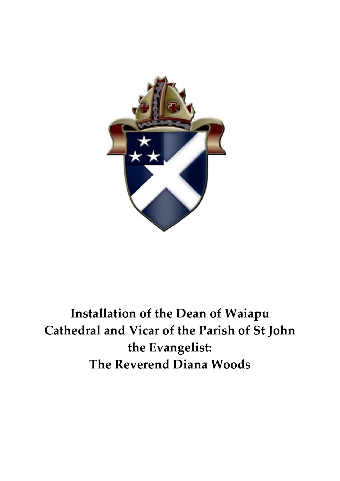

**Installation of the Dean of Waiapu Cathedral and Vicar of the Parish of St John the Evangelist: The Reverend Diana Woods**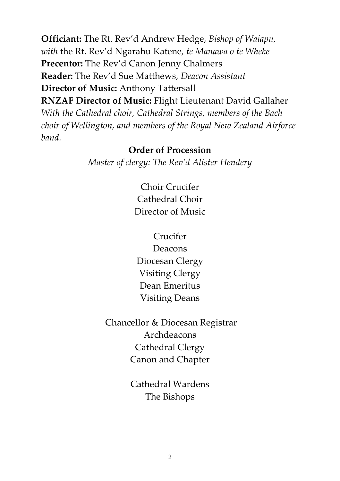**Officiant:** The Rt. Rev'd Andrew Hedge, *Bishop of Waiapu, with* the Rt. Rev'd Ngarahu Katene*, te Manawa o te Wheke* **Precentor:** The Rev'd Canon Jenny Chalmers **Reader:** The Rev'd Sue Matthews, *Deacon Assistant* **Director of Music:** Anthony Tattersall **RNZAF Director of Music:** Flight Lieutenant David Gallaher

*With the Cathedral choir, Cathedral Strings, members of the Bach choir of Wellington, and members of the Royal New Zealand Airforce band.* 

#### **Order of Procession**

*Master of clergy: The Rev'd Alister Hendery*

Choir Crucifer Cathedral Choir Director of Music

Crucifer Deacons Diocesan Clergy Visiting Clergy Dean Emeritus Visiting Deans

Chancellor & Diocesan Registrar Archdeacons Cathedral Clergy Canon and Chapter

> Cathedral Wardens The Bishops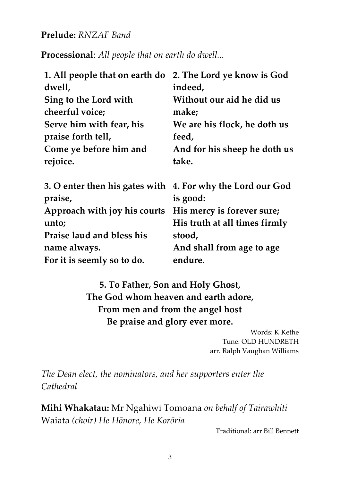### **Prelude:** *RNZAF Band*

**Processional**: *All people that on earth do dwell...*

| 1. All people that on earth do                                        | 2. The Lord ye know is God    |
|-----------------------------------------------------------------------|-------------------------------|
| dwell,                                                                | indeed,                       |
| Sing to the Lord with                                                 | Without our aid he did us     |
| cheerful voice;                                                       | make;                         |
| Serve him with fear, his                                              | We are his flock, he doth us  |
| praise forth tell,                                                    | feed,                         |
| Come ye before him and                                                | And for his sheep he doth us  |
| rejoice.                                                              | take.                         |
| 3. O enter then his gates with 4. For why the Lord our God<br>praise, | is good:                      |
| Approach with joy his courts                                          | His mercy is forever sure;    |
| unto;                                                                 | His truth at all times firmly |
| <b>Praise laud and bless his</b>                                      | stood,                        |
| name always.                                                          | And shall from age to age     |
| For it is seemly so to do.                                            | endure.                       |
|                                                                       |                               |

**5. To Father, Son and Holy Ghost, The God whom heaven and earth adore, From men and from the angel host Be praise and glory ever more.**

> Words: K Kethe Tune: OLD HUNDRETH arr. Ralph Vaughan Williams

*The Dean elect, the nominators, and her supporters enter the Cathedral*

**Mihi Whakatau:** Mr Ngahiwi Tomoana *on behalf of Tairawhiti*  Waiata *(choir) He Hōnore, He Korōria*

Traditional: arr Bill Bennett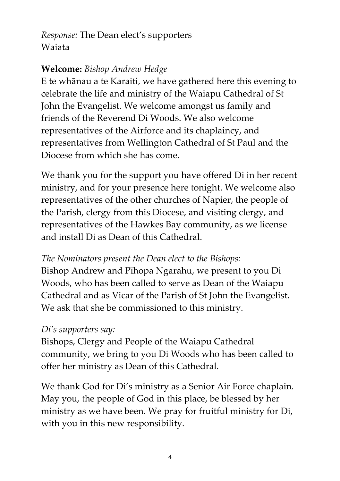*Response:* The Dean elect's supporters Waiata

### **Welcome:** *Bishop Andrew Hedge*

E te whānau a te Karaiti, we have gathered here this evening to celebrate the life and ministry of the Waiapu Cathedral of St John the Evangelist. We welcome amongst us family and friends of the Reverend Di Woods. We also welcome representatives of the Airforce and its chaplaincy, and representatives from Wellington Cathedral of St Paul and the Diocese from which she has come.

We thank you for the support you have offered Di in her recent ministry, and for your presence here tonight. We welcome also representatives of the other churches of Napier, the people of the Parish, clergy from this Diocese, and visiting clergy, and representatives of the Hawkes Bay community, as we license and install Di as Dean of this Cathedral.

### *The Nominators present the Dean elect to the Bishops:*

Bishop Andrew and Pīhopa Ngarahu, we present to you Di Woods, who has been called to serve as Dean of the Waiapu Cathedral and as Vicar of the Parish of St John the Evangelist. We ask that she be commissioned to this ministry.

### *Di's supporters say:*

Bishops, Clergy and People of the Waiapu Cathedral community, we bring to you Di Woods who has been called to offer her ministry as Dean of this Cathedral.

We thank God for Di's ministry as a Senior Air Force chaplain. May you, the people of God in this place, be blessed by her ministry as we have been. We pray for fruitful ministry for Di, with you in this new responsibility.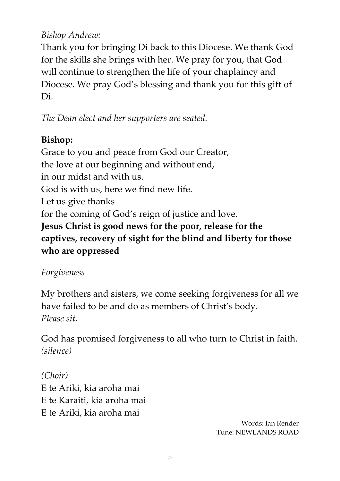### *Bishop Andrew:*

Thank you for bringing Di back to this Diocese. We thank God for the skills she brings with her. We pray for you, that God will continue to strengthen the life of your chaplaincy and Diocese. We pray God's blessing and thank you for this gift of Di.

*The Dean elect and her supporters are seated.*

# **Bishop:**

Grace to you and peace from God our Creator, the love at our beginning and without end, in our midst and with us. God is with us, here we find new life. Let us give thanks for the coming of God's reign of justice and love. **Jesus Christ is good news for the poor, release for the captives, recovery of sight for the blind and liberty for those who are oppressed** 

# *Forgiveness*

My brothers and sisters, we come seeking forgiveness for all we have failed to be and do as members of Christ's body. *Please sit.* 

God has promised forgiveness to all who turn to Christ in faith. *(silence)* 

*(Choir)* E te Ariki, kia aroha mai E te Karaiti, kia aroha mai E te Ariki, kia aroha mai

Words: Ian Render Tune: NEWLANDS ROAD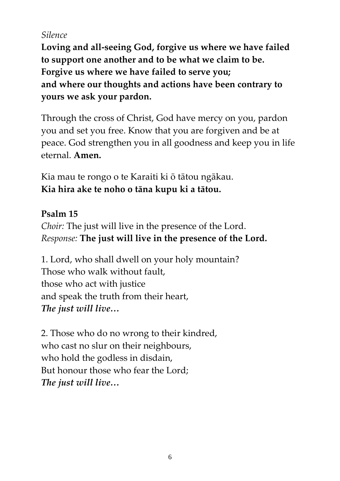## *Silence*

**Loving and all-seeing God, forgive us where we have failed to support one another and to be what we claim to be. Forgive us where we have failed to serve you; and where our thoughts and actions have been contrary to yours we ask your pardon.** 

Through the cross of Christ, God have mercy on you, pardon you and set you free. Know that you are forgiven and be at peace. God strengthen you in all goodness and keep you in life eternal. **Amen.** 

Kia mau te rongo o te Karaiti ki ō tātou ngākau. **Kia hira ake te noho o tāna kupu ki a tātou.** 

# **Psalm 15**

*Choir:* The just will live in the presence of the Lord. *Response:* **The just will live in the presence of the Lord.**

1. Lord, who shall dwell on your holy mountain? Those who walk without fault, those who act with justice and speak the truth from their heart, *The just will live…*

2. Those who do no wrong to their kindred, who cast no slur on their neighbours, who hold the godless in disdain, But honour those who fear the Lord; *The just will live…*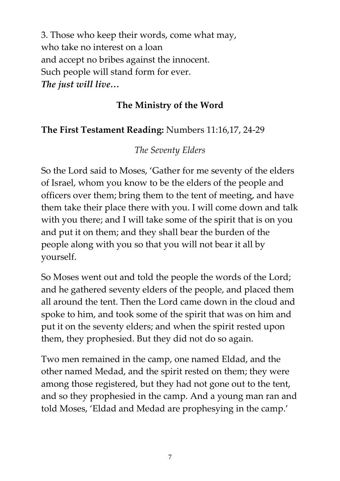3. Those who keep their words, come what may, who take no interest on a loan and accept no bribes against the innocent. Such people will stand form for ever. *The just will live…*

### **The Ministry of the Word**

## **The First Testament Reading:** Numbers 11:16,17, 24-29

## *The Seventy Elders*

So the Lord said to Moses, 'Gather for me seventy of the elders of Israel, whom you know to be the elders of the people and officers over them; bring them to the tent of meeting, and have them take their place there with you. I will come down and talk with you there; and I will take some of the spirit that is on you and put it on them; and they shall bear the burden of the people along with you so that you will not bear it all by yourself.

So Moses went out and told the people the words of the Lord; and he gathered seventy elders of the people, and placed them all around the tent. Then the Lord came down in the cloud and spoke to him, and took some of the spirit that was on him and put it on the seventy elders; and when the spirit rested upon them, they prophesied. But they did not do so again.

Two men remained in the camp, one named Eldad, and the other named Medad, and the spirit rested on them; they were among those registered, but they had not gone out to the tent, and so they prophesied in the camp. And a young man ran and told Moses, 'Eldad and Medad are prophesying in the camp.'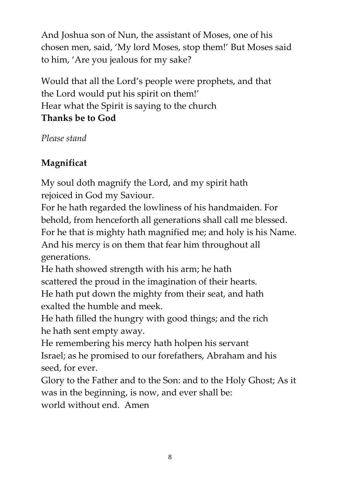And Joshua son of Nun, the assistant of Moses, one of his chosen men, said, 'My lord Moses, stop them!' But Moses said to him, 'Are you jealous for my sake?

Would that all the Lord's people were prophets, and that the Lord would put his spirit on them!' Hear what the Spirit is saying to the church **Thanks be to God**

*Please stand*

# **Magnificat**

My soul doth magnify the Lord, and my spirit hath rejoiced in God my Saviour.

For he hath regarded the lowliness of his handmaiden. For behold, from henceforth all generations shall call me blessed. For he that is mighty hath magnified me; and holy is his Name. And his mercy is on them that fear him throughout all generations.

He hath showed strength with his arm; he hath scattered the proud in the imagination of their hearts.

He hath put down the mighty from their seat, and hath exalted the humble and meek.

He hath filled the hungry with good things; and the rich he hath sent empty away.

He remembering his mercy hath holpen his servant Israel; as he promised to our forefathers, Abraham and his seed, for ever.

Glory to the Father and to the Son: and to the Holy Ghost; As it was in the beginning, is now, and ever shall be: world without end. Amen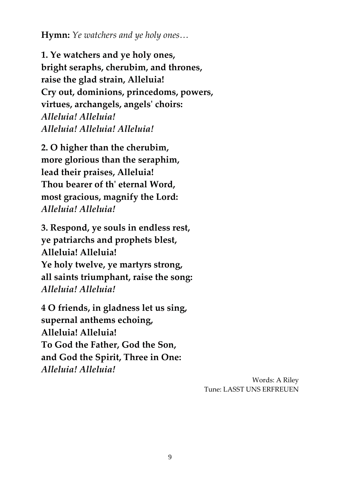**Hymn:** *Ye watchers and ye holy ones…*

**1. Ye watchers and ye holy ones, bright seraphs, cherubim, and thrones, raise the glad strain, Alleluia! Cry out, dominions, princedoms, powers, virtues, archangels, angels' choirs:** *Alleluia! Alleluia! Alleluia! Alleluia! Alleluia!*

**2. O higher than the cherubim, more glorious than the seraphim, lead their praises, Alleluia! Thou bearer of th' eternal Word, most gracious, magnify the Lord:** *Alleluia! Alleluia!*

**3. Respond, ye souls in endless rest, ye patriarchs and prophets blest, Alleluia! Alleluia! Ye holy twelve, ye martyrs strong, all saints triumphant, raise the song:** *Alleluia! Alleluia!*

**4 O friends, in gladness let us sing, supernal anthems echoing, Alleluia! Alleluia! To God the Father, God the Son, and God the Spirit, Three in One:** *Alleluia! Alleluia!*

> Words: A Riley Tune: LASST UNS ERFREUEN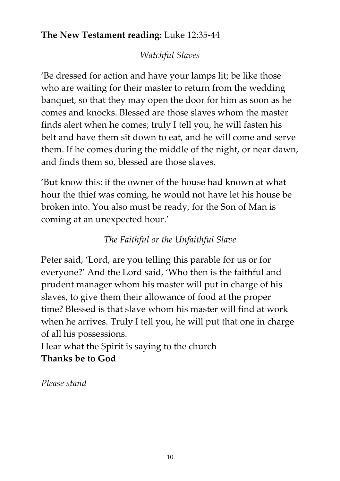## **The New Testament reading:** Luke 12:35-44

## *Watchful Slaves*

'Be dressed for action and have your lamps lit; be like those who are waiting for their master to return from the wedding banquet, so that they may open the door for him as soon as he comes and knocks. Blessed are those slaves whom the master finds alert when he comes; truly I tell you, he will fasten his belt and have them sit down to eat, and he will come and serve them. If he comes during the middle of the night, or near dawn, and finds them so, blessed are those slaves.

'But know this: if the owner of the house had known at what hour the thief was coming, he would not have let his house be broken into. You also must be ready, for the Son of Man is coming at an unexpected hour.'

## *The Faithful or the Unfaithful Slave*

Peter said, 'Lord, are you telling this parable for us or for everyone?' And the Lord said, 'Who then is the faithful and prudent manager whom his master will put in charge of his slaves, to give them their allowance of food at the proper time? Blessed is that slave whom his master will find at work when he arrives. Truly I tell you, he will put that one in charge of all his possessions.

Hear what the Spirit is saying to the church **Thanks be to God**

*Please stand*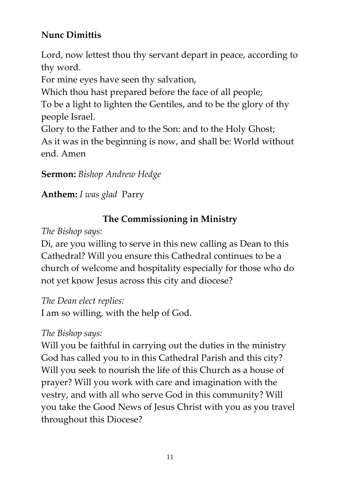# **Nunc Dimittis**

Lord, now lettest thou thy servant depart in peace, according to thy word.

For mine eyes have seen thy salvation,

Which thou hast prepared before the face of all people;

To be a light to lighten the Gentiles, and to be the glory of thy people Israel.

Glory to the Father and to the Son: and to the Holy Ghost; As it was in the beginning is now, and shall be: World without end. Amen

**Sermon:** *Bishop Andrew Hedge*

**Anthem:** *I was glad* Parry

# **The Commissioning in Ministry**

*The Bishop says:* 

Di, are you willing to serve in this new calling as Dean to this Cathedral? Will you ensure this Cathedral continues to be a church of welcome and hospitality especially for those who do not yet know Jesus across this city and diocese?

*The Dean elect replies:* 

I am so willing, with the help of God.

*The Bishop says:* 

Will you be faithful in carrying out the duties in the ministry God has called you to in this Cathedral Parish and this city? Will you seek to nourish the life of this Church as a house of prayer? Will you work with care and imagination with the vestry, and with all who serve God in this community? Will you take the Good News of Jesus Christ with you as you travel throughout this Diocese?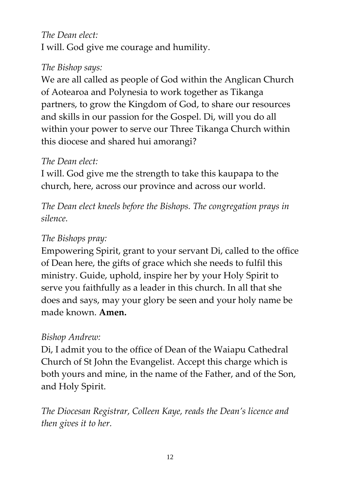### *The Dean elect:*

I will. God give me courage and humility.

### *The Bishop says:*

We are all called as people of God within the Anglican Church of Aotearoa and Polynesia to work together as Tikanga partners, to grow the Kingdom of God, to share our resources and skills in our passion for the Gospel. Di, will you do all within your power to serve our Three Tikanga Church within this diocese and shared hui amorangi?

#### *The Dean elect:*

I will. God give me the strength to take this kaupapa to the church, here, across our province and across our world.

*The Dean elect kneels before the Bishops. The congregation prays in silence.* 

### *The Bishops pray:*

Empowering Spirit, grant to your servant Di, called to the office of Dean here, the gifts of grace which she needs to fulfil this ministry. Guide, uphold, inspire her by your Holy Spirit to serve you faithfully as a leader in this church. In all that she does and says, may your glory be seen and your holy name be made known. **Amen.** 

#### *Bishop Andrew:*

Di, I admit you to the office of Dean of the Waiapu Cathedral Church of St John the Evangelist. Accept this charge which is both yours and mine, in the name of the Father, and of the Son, and Holy Spirit.

*The Diocesan Registrar, Colleen Kaye, reads the Dean's licence and then gives it to her.*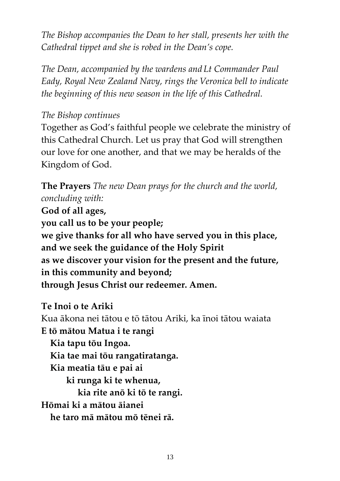*The Bishop accompanies the Dean to her stall, presents her with the Cathedral tippet and she is robed in the Dean's cope.* 

*The Dean, accompanied by the wardens and Lt Commander Paul Eady, Royal New Zealand Navy, rings the Veronica bell to indicate the beginning of this new season in the life of this Cathedral.*

#### *The Bishop continues*

Together as God's faithful people we celebrate the ministry of this Cathedral Church. Let us pray that God will strengthen our love for one another, and that we may be heralds of the Kingdom of God.

**The Prayers** *The new Dean prays for the church and the world, concluding with:*

**God of all ages, you call us to be your people; we give thanks for all who have served you in this place, and we seek the guidance of the Holy Spirit as we discover your vision for the present and the future, in this community and beyond; through Jesus Christ our redeemer. Amen.** 

#### **Te Inoi o te Ariki**

Kua ākona nei tātou e tō tātou Ariki, ka īnoi tātou waiata **E tō mātou Matua i te rangi Kia tapu tōu Ingoa. Kia tae mai tōu rangatiratanga. Kia meatia tāu e pai ai ki runga ki te whenua, kia rite anō ki tō te rangi. Hōmai ki a mātou āianei he taro mā mātou mō tēnei rā.**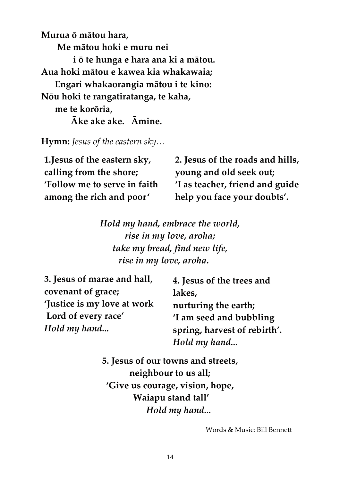**Murua ō mātou hara, Me mātou hoki e muru nei i ō te hunga e hara ana ki a mātou. Aua hoki mātou e kawea kia whakawaia; Engari whakaorangia mātou i te kino: Nōu hoki te rangatiratanga, te kaha, me te korōria, Āke ake ake. Āmine.**

**Hymn:** *Jesus of the eastern sky…*

| 1. Jesus of the eastern sky, | 2. Jesus of the roads and hills, |
|------------------------------|----------------------------------|
| calling from the shore;      | young and old seek out;          |
| 'Follow me to serve in faith | 'I as teacher, friend and guide  |
| among the rich and poor'     | help you face your doubts'.      |

*Hold my hand, embrace the world, rise in my love, aroha; take my bread, find new life, rise in my love, aroha.*

| 4. Jesus of the trees and    |
|------------------------------|
| lakes,                       |
| nurturing the earth;         |
| 'I am seed and bubbling      |
| spring, harvest of rebirth'. |
| Hold my hand                 |
|                              |

**5. Jesus of our towns and streets, neighbour to us all; 'Give us courage, vision, hope, Waiapu stand tall'**  *Hold my hand...*

Words & Music: Bill Bennett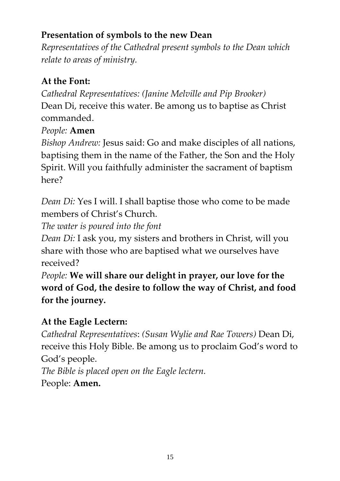# **Presentation of symbols to the new Dean**

*Representatives of the Cathedral present symbols to the Dean which relate to areas of ministry.* 

# **At the Font:**

*Cathedral Representatives: (Janine Melville and Pip Brooker)*  Dean Di, receive this water. Be among us to baptise as Christ commanded.

# *People:* **Amen**

*Bishop Andrew:* Jesus said: Go and make disciples of all nations, baptising them in the name of the Father, the Son and the Holy Spirit. Will you faithfully administer the sacrament of baptism here?

*Dean Di:* Yes I will. I shall baptise those who come to be made members of Christ's Church.

*The water is poured into the font* 

*Dean Di:* I ask you, my sisters and brothers in Christ, will you share with those who are baptised what we ourselves have received?

*People:* **We will share our delight in prayer, our love for the word of God, the desire to follow the way of Christ, and food for the journey.** 

# **At the Eagle Lectern:**

*Cathedral Representatives*: *(Susan Wylie and Rae Towers)* Dean Di, receive this Holy Bible. Be among us to proclaim God's word to God's people. *The Bible is placed open on the Eagle lectern.*  People: **Amen.**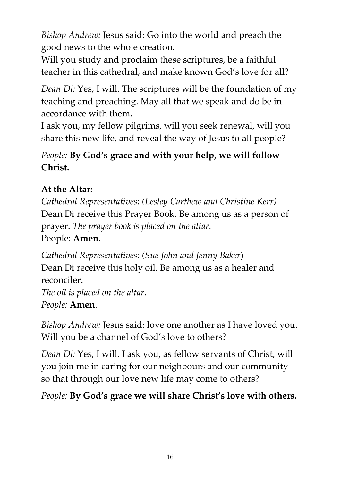*Bishop Andrew:* Jesus said: Go into the world and preach the good news to the whole creation.

Will you study and proclaim these scriptures, be a faithful teacher in this cathedral, and make known God's love for all?

*Dean Di:* Yes, I will. The scriptures will be the foundation of my teaching and preaching. May all that we speak and do be in accordance with them.

I ask you, my fellow pilgrims, will you seek renewal, will you share this new life, and reveal the way of Jesus to all people?

# *People:* **By God's grace and with your help, we will follow Christ.**

# **At the Altar:**

*Cathedral Representatives*: *(Lesley Carthew and Christine Kerr)* Dean Di receive this Prayer Book. Be among us as a person of prayer. *The prayer book is placed on the altar.*  People: **Amen.** 

*Cathedral Representatives: (Sue John and Jenny Baker*) Dean Di receive this holy oil. Be among us as a healer and reconciler. *The oil is placed on the altar. People:* **Amen**.

*Bishop Andrew:* Jesus said: love one another as I have loved you. Will you be a channel of God's love to others?

*Dean Di:* Yes, I will. I ask you, as fellow servants of Christ, will you join me in caring for our neighbours and our community so that through our love new life may come to others?

*People:* **By God's grace we will share Christ's love with others.**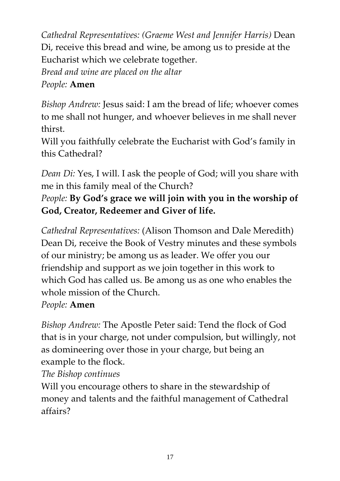*Cathedral Representatives: (Graeme West and Jennifer Harris)* Dean Di, receive this bread and wine, be among us to preside at the Eucharist which we celebrate together*. Bread and wine are placed on the altar People:* **Amen** 

# *Bishop Andrew:* Jesus said: I am the bread of life; whoever comes to me shall not hunger, and whoever believes in me shall never thirst.

Will you faithfully celebrate the Eucharist with God's family in this Cathedral?

*Dean Di:* Yes, I will. I ask the people of God; will you share with me in this family meal of the Church?

# *People:* **By God's grace we will join with you in the worship of God, Creator, Redeemer and Giver of life.**

*Cathedral Representatives:* (Alison Thomson and Dale Meredith) Dean Di, receive the Book of Vestry minutes and these symbols of our ministry; be among us as leader. We offer you our friendship and support as we join together in this work to which God has called us. Be among us as one who enables the whole mission of the Church.

# *People:* **Amen**

*Bishop Andrew:* The Apostle Peter said: Tend the flock of God that is in your charge, not under compulsion, but willingly, not as domineering over those in your charge, but being an example to the flock.

# *The Bishop continues*

Will you encourage others to share in the stewardship of money and talents and the faithful management of Cathedral affairs?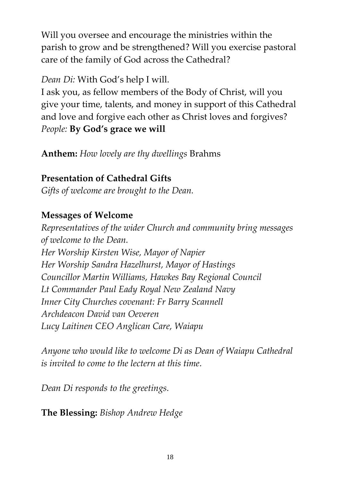Will you oversee and encourage the ministries within the parish to grow and be strengthened? Will you exercise pastoral care of the family of God across the Cathedral?

### *Dean Di:* With God's help I will.

I ask you, as fellow members of the Body of Christ, will you give your time, talents, and money in support of this Cathedral and love and forgive each other as Christ loves and forgives? *People:* **By God's grace we will** 

**Anthem:** *How lovely are thy dwellings* Brahms

## **Presentation of Cathedral Gifts**

*Gifts of welcome are brought to the Dean.*

### **Messages of Welcome**

*Representatives of the wider Church and community bring messages of welcome to the Dean. Her Worship Kirsten Wise, Mayor of Napier Her Worship Sandra Hazelhurst, Mayor of Hastings Councillor Martin Williams, Hawkes Bay Regional Council Lt Commander Paul Eady Royal New Zealand Navy Inner City Churches covenant: Fr Barry Scannell Archdeacon David van Oeveren Lucy Laitinen CEO Anglican Care, Waiapu*

*Anyone who would like to welcome Di as Dean of Waiapu Cathedral is invited to come to the lectern at this time.*

*Dean Di responds to the greetings.*

**The Blessing:** *Bishop Andrew Hedge*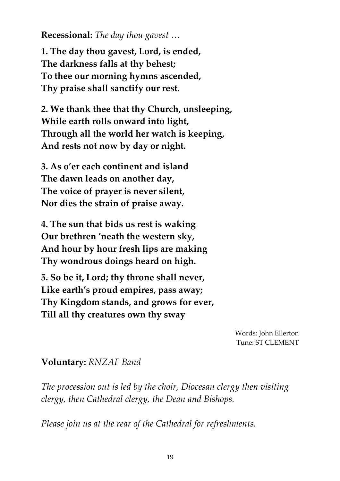**Recessional:** *The day thou gavest …*

**1. The day thou gavest, Lord, is ended, The darkness falls at thy behest; To thee our morning hymns ascended, Thy praise shall sanctify our rest.**

**2. We thank thee that thy Church, unsleeping, While earth rolls onward into light, Through all the world her watch is keeping, And rests not now by day or night.**

**3. As o'er each continent and island The dawn leads on another day, The voice of prayer is never silent, Nor dies the strain of praise away.**

**4. The sun that bids us rest is waking Our brethren 'neath the western sky, And hour by hour fresh lips are making Thy wondrous doings heard on high.**

**5. So be it, Lord; thy throne shall never, Like earth's proud empires, pass away; Thy Kingdom stands, and grows for ever, Till all thy creatures own thy sway**

> Words: John Ellerton Tune: ST CLEMENT

#### **Voluntary:** *RNZAF Band*

*The procession out is led by the choir, Diocesan clergy then visiting clergy, then Cathedral clergy, the Dean and Bishops.* 

*Please join us at the rear of the Cathedral for refreshments.*